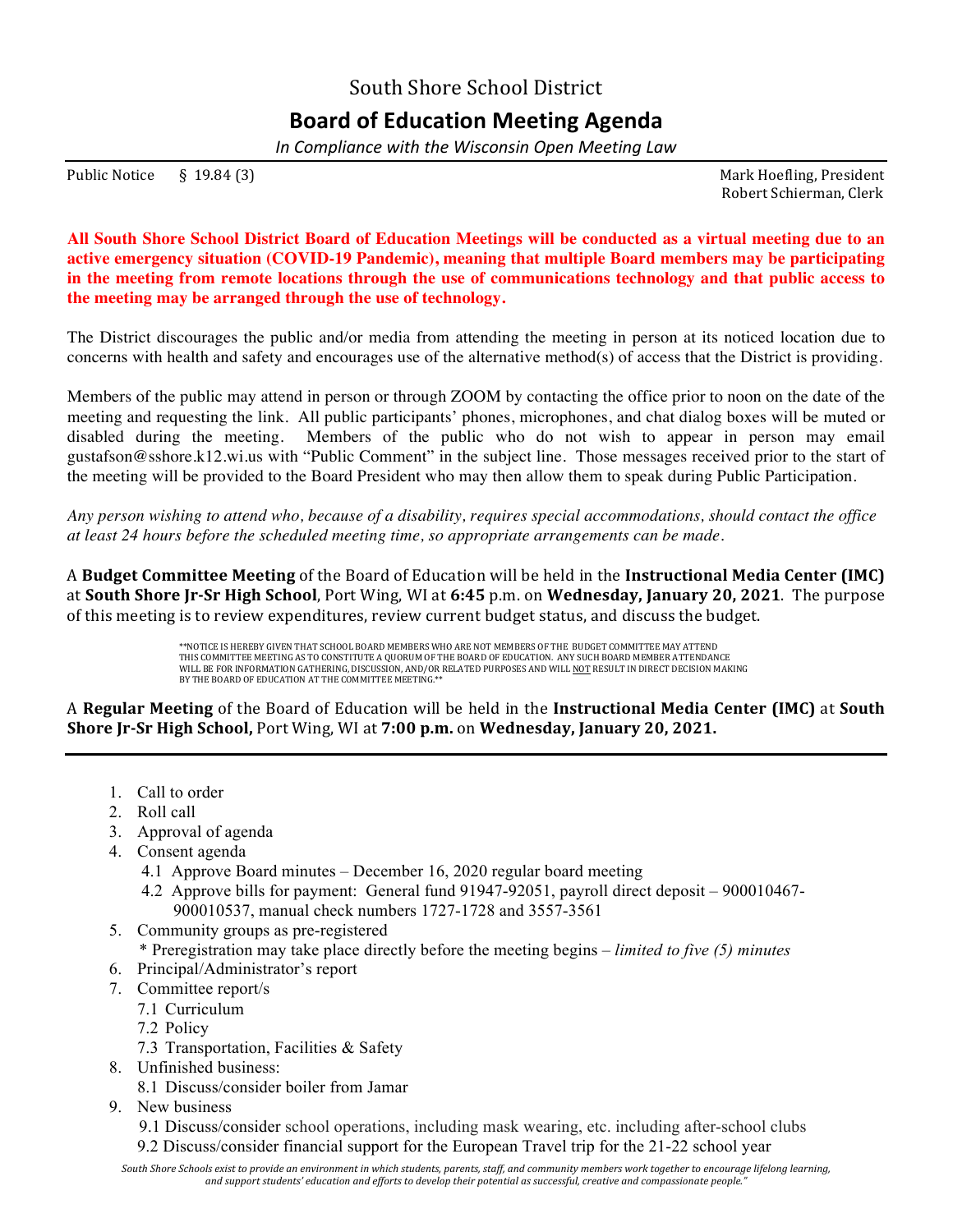South Shore School District

## **Board of Education Meeting Agenda**

*In Compliance with the Wisconsin Open Meeting Law*

Public Notice § 19.84 (3) Solution 2. The Solution of the Solution of the Mark Hoefling, President

 Robert Schierman, Clerk

**All South Shore School District Board of Education Meetings will be conducted as a virtual meeting due to an active emergency situation (COVID-19 Pandemic), meaning that multiple Board members may be participating in the meeting from remote locations through the use of communications technology and that public access to the meeting may be arranged through the use of technology.**

The District discourages the public and/or media from attending the meeting in person at its noticed location due to concerns with health and safety and encourages use of the alternative method(s) of access that the District is providing.

Members of the public may attend in person or through ZOOM by contacting the office prior to noon on the date of the meeting and requesting the link. All public participants' phones, microphones, and chat dialog boxes will be muted or disabled during the meeting. Members of the public who do not wish to appear in person may email gustafson@sshore.k12.wi.us with "Public Comment" in the subject line. Those messages received prior to the start of the meeting will be provided to the Board President who may then allow them to speak during Public Participation.

*Any person wishing to attend who, because of a disability, requires special accommodations, should contact the office at least 24 hours before the scheduled meeting time, so appropriate arrangements can be made.*

A **Budget Committee Meeting** of the Board of Education will be held in the **Instructional Media Center (IMC)** at South Shore Jr-Sr High School, Port Wing, WI at 6:45 p.m. on Wednesday, January 20, 2021. The purpose of this meeting is to review expenditures, review current budget status, and discuss the budget.

> \*\*NOTICE IS HEREBY GIVEN THAT SCHOOL BOARD MEMBERS WHO ARE NOT MEMBERS OF THE BUDGET COMMITTEE MAY ATTEND THIS COMMITTEE MEETING AS TO CONSTITUTE A QUORUM OF THE BOARD OF EDUCATION. ANY SUCH BOARD MEMBER ATTENDANCE WILL BE FOR INFORMATION GATHERING, DISCUSSION, AND/OR RELATED PURPOSES AND WILL <u>NOT</u> RESULT IN DIRECT DECISION MAKING<br>BY THE BOARD OF EDUCATION AT THE COMMITTEE MEETING.\*\*

A Regular Meeting of the Board of Education will be held in the Instructional Media Center (IMC) at South **Shore [r-Sr High School, Port Wing, WI at 7:00 p.m.** on **Wednesday, January 20, 2021.** 

- 1. Call to order
- 2. Roll call
- 3. Approval of agenda
- 4. Consent agenda
	- 4.1 Approve Board minutes December 16, 2020 regular board meeting
	- 4.2 Approve bills for payment: General fund 91947-92051, payroll direct deposit 900010467- 900010537, manual check numbers 1727-1728 and 3557-3561
- 5. Community groups as pre-registered
	- \* Preregistration may take place directly before the meeting begins *limited to five (5) minutes*
- 6. Principal/Administrator's report
- 7. Committee report/s
	- 7.1 Curriculum
	- 7.2 Policy
	- 7.3 Transportation, Facilities & Safety
- 8. Unfinished business:
	- 8.1 Discuss/consider boiler from Jamar
- 9. New business
	- 9.1 Discuss/consider school operations, including mask wearing, etc. including after-school clubs
	- 9.2 Discuss/consider financial support for the European Travel trip for the 21-22 school year